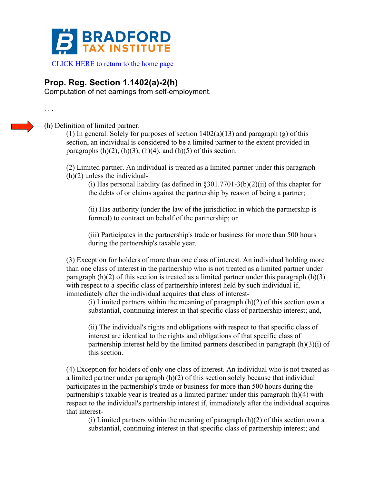

## **Prop. Reg. Section 1.1402(a)-2(h)**

Computation of net earnings from self-employment.

. . .

(h) Definition of limited partner.

(1) In general. Solely for purposes of section  $1402(a)(13)$  and paragraph (g) of this section, an individual is considered to be a limited partner to the extent provided in paragraphs  $(h)(2)$ ,  $(h)(3)$ ,  $(h)(4)$ , and  $(h)(5)$  of this section.

(2) Limited partner. An individual is treated as a limited partner under this paragraph (h)(2) unless the individual-

(i) Has personal liability (as defined in  $\S 301.7701-3(b)(2)(ii)$  of this chapter for the debts of or claims against the partnership by reason of being a partner;

(ii) Has authority (under the law of the jurisdiction in which the partnership is formed) to contract on behalf of the partnership; or

(iii) Participates in the partnership's trade or business for more than 500 hours during the partnership's taxable year.

(3) Exception for holders of more than one class of interest. An individual holding more than one class of interest in the partnership who is not treated as a limited partner under paragraph  $(h)(2)$  of this section is treated as a limited partner under this paragraph  $(h)(3)$ with respect to a specific class of partnership interest held by such individual if, immediately after the individual acquires that class of interest-

(i) Limited partners within the meaning of paragraph  $(h)(2)$  of this section own a substantial, continuing interest in that specific class of partnership interest; and,

(ii) The individual's rights and obligations with respect to that specific class of interest are identical to the rights and obligations of that specific class of partnership interest held by the limited partners described in paragraph (h)(3)(i) of this section.

(4) Exception for holders of only one class of interest. An individual who is not treated as a limited partner under paragraph (h)(2) of this section solely because that individual participates in the partnership's trade or business for more than 500 hours during the partnership's taxable year is treated as a limited partner under this paragraph (h)(4) with respect to the individual's partnership interest if, immediately after the individual acquires that interest-

(i) Limited partners within the meaning of paragraph  $(h)(2)$  of this section own a substantial, continuing interest in that specific class of partnership interest; and